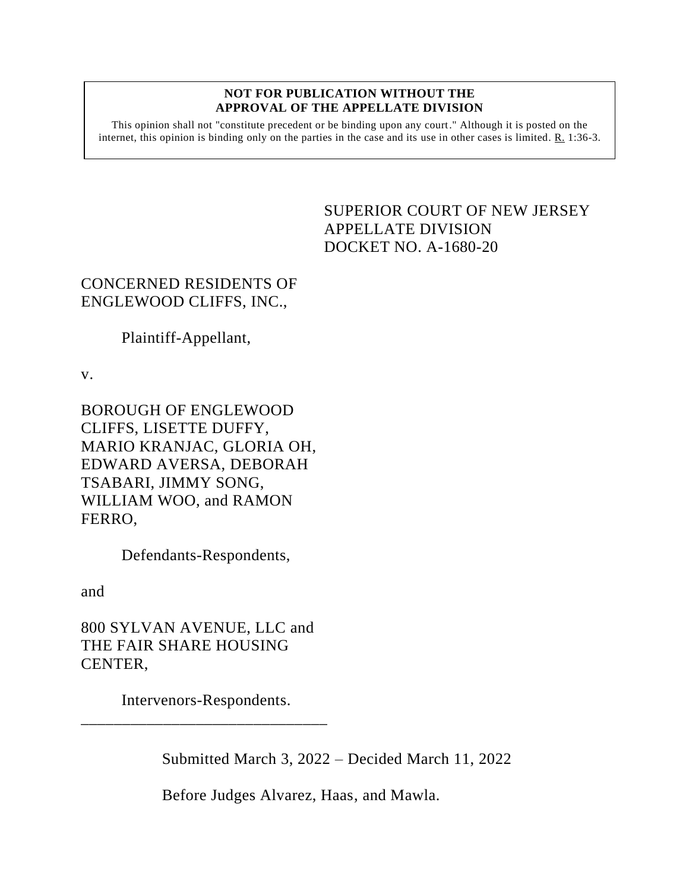## **NOT FOR PUBLICATION WITHOUT THE APPROVAL OF THE APPELLATE DIVISION**

This opinion shall not "constitute precedent or be binding upon any court." Although it is posted on the internet, this opinion is binding only on the parties in the case and its use in other cases is limited. R. 1:36-3.

## <span id="page-0-0"></span>SUPERIOR COURT OF NEW JERSEY APPELLATE DIVISION DOCKET NO. A-1680-20

## CONCERNED RESIDENTS OF ENGLEWOOD CLIFFS, INC.,

Plaintiff-Appellant,

v.

BOROUGH OF ENGLEWOOD CLIFFS, LISETTE DUFFY, MARIO KRANJAC, GLORIA OH, EDWARD AVERSA, DEBORAH TSABARI, JIMMY SONG, WILLIAM WOO, and RAMON FERRO,

Defendants-Respondents,

and

800 SYLVAN AVENUE, LLC and THE FAIR SHARE HOUSING CENTER,

Intervenors-Respondents. \_\_\_\_\_\_\_\_\_\_\_\_\_\_\_\_\_\_\_\_\_\_\_\_\_\_\_\_\_\_

Submitted March 3, 2022 – Decided March 11, 2022

Before Judges Alvarez, Haas, and Mawla.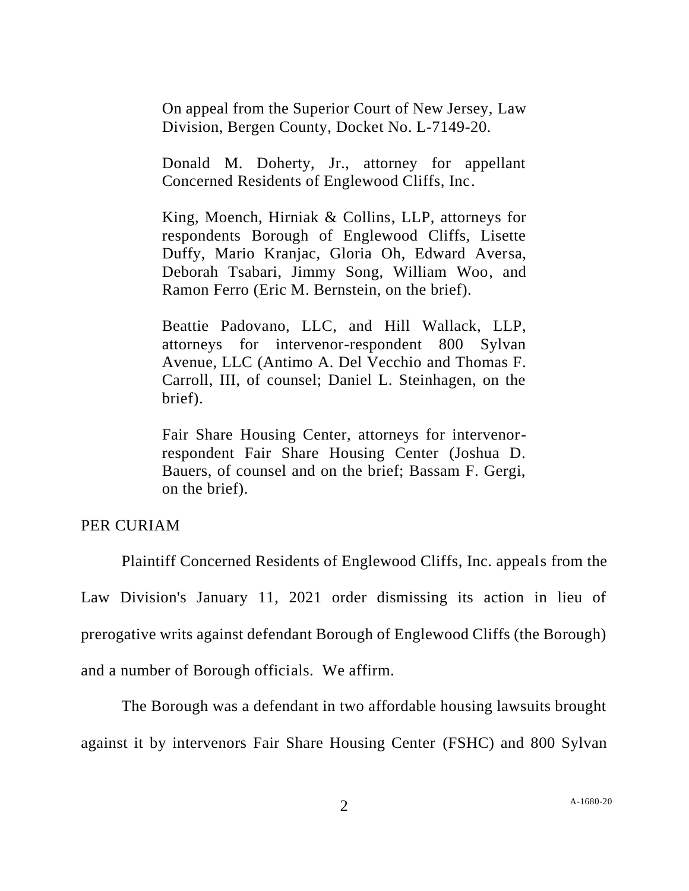On appeal from the Superior Court of New Jersey, Law Division, Bergen County, Docket No. L-7149-20.

Donald M. Doherty, Jr., attorney for appellant Concerned Residents of Englewood Cliffs, Inc.

King, Moench, Hirniak & Collins, LLP, attorneys for respondents Borough of Englewood Cliffs, Lisette Duffy, Mario Kranjac, Gloria Oh, Edward Aversa, Deborah Tsabari, Jimmy Song, William Woo, and Ramon Ferro (Eric M. Bernstein, on the brief).

Beattie Padovano, LLC, and Hill Wallack, LLP, attorneys for intervenor-respondent 800 Sylvan Avenue, LLC (Antimo A. Del Vecchio and Thomas F. Carroll, III, of counsel; Daniel L. Steinhagen, on the brief).

Fair Share Housing Center, attorneys for intervenorrespondent Fair Share Housing Center (Joshua D. Bauers, of counsel and on the brief; Bassam F. Gergi, on the brief).

PER CURIAM

Plaintiff Concerned Residents of Englewood Cliffs, Inc. appeals from the Law Division's January 11, 2021 order dismissing its action in lieu of prerogative writs against defendant Borough of Englewood Cliffs (the Borough) and a number of Borough officials. We affirm.

The Borough was a defendant in two affordable housing lawsuits brought against it by intervenors Fair Share Housing Center (FSHC) and 800 Sylvan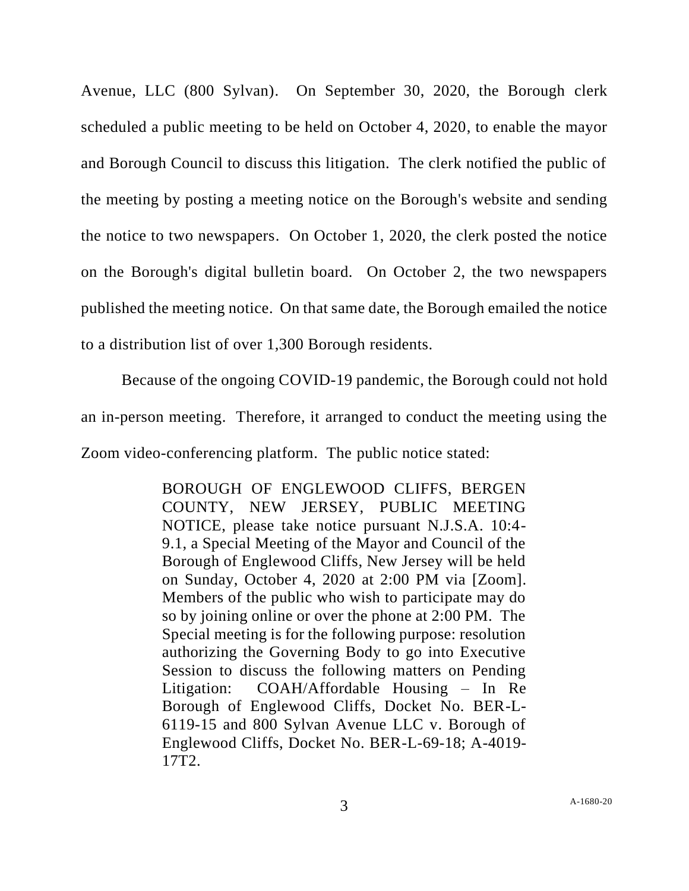Avenue, LLC (800 Sylvan). On September 30, 2020, the Borough clerk scheduled a public meeting to be held on October 4, 2020, to enable the mayor and Borough Council to discuss this litigation. The clerk notified the public of the meeting by posting a meeting notice on the Borough's website and sending the notice to two newspapers. On October 1, 2020, the clerk posted the notice on the Borough's digital bulletin board. On October 2, the two newspapers published the meeting notice. On that same date, the Borough emailed the notice to a distribution list of over 1,300 Borough residents.

Because of the ongoing COVID-19 pandemic, the Borough could not hold an in-person meeting. Therefore, it arranged to conduct the meeting using the Zoom video-conferencing platform. The public notice stated:

> BOROUGH OF ENGLEWOOD CLIFFS, BERGEN COUNTY, NEW JERSEY, PUBLIC MEETING NOTICE, please take notice pursuant N.J.S.A. 10:4- 9.1, a Special Meeting of the Mayor and Council of the Borough of Englewood Cliffs, New Jersey will be held on Sunday, October 4, 2020 at 2:00 PM via [Zoom]. Members of the public who wish to participate may do so by joining online or over the phone at 2:00 PM. The Special meeting is for the following purpose: resolution authorizing the Governing Body to go into Executive Session to discuss the following matters on Pending Litigation: COAH/Affordable Housing – In Re Borough of Englewood Cliffs, Docket No. BER-L-6119-15 and 800 Sylvan Avenue LLC v. Borough of Englewood Cliffs, Docket No. BER-L-69-18; A-4019- 17T2.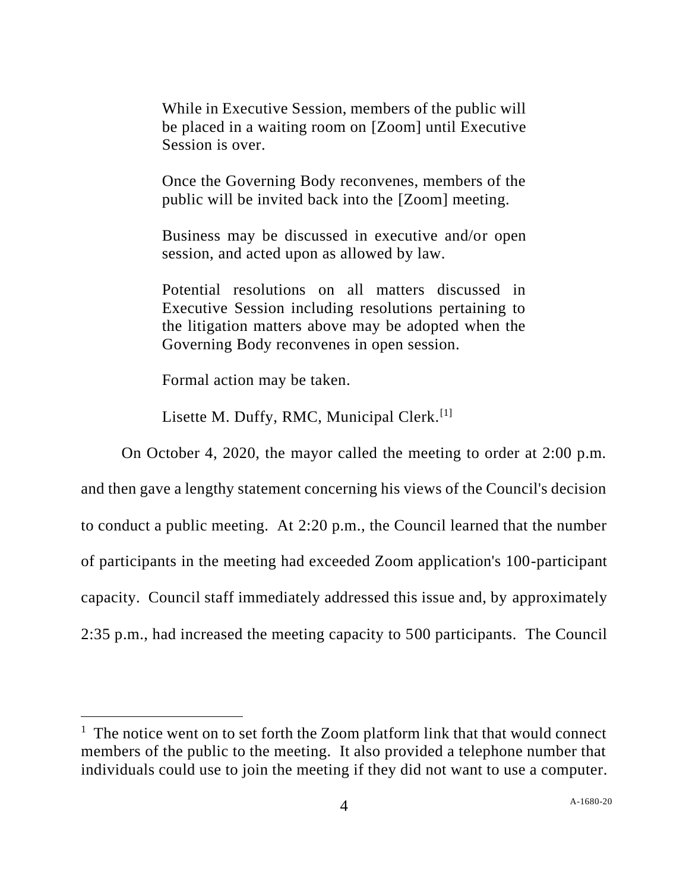While in Executive Session, members of the public will be placed in a waiting room on [Zoom] until Executive Session is over.

Once the Governing Body reconvenes, members of the public will be invited back into the [Zoom] meeting.

Business may be discussed in executive and/or open session, and acted upon as allowed by law.

Potential resolutions on all matters discussed in Executive Session including resolutions pertaining to the litigation matters above may be adopted when the Governing Body reconvenes in open session.

Formal action may be taken.

Lisette M. Duffy, RMC, Municipal Clerk.<sup>[1]</sup>

On October 4, 2020, the mayor called the meeting to order at 2:00 p.m.

and then gave a lengthy statement concerning his views of the Council's decision to conduct a public meeting. At 2:20 p.m., the Council learned that the number of participants in the meeting had exceeded Zoom application's 100-participant capacity. Council staff immediately addressed this issue and, by approximately 2:35 p.m., had increased the meeting capacity to 500 participants. The Council

 $<sup>1</sup>$  The notice went on to set forth the Zoom platform link that that would connect</sup> members of the public to the meeting. It also provided a telephone number that individuals could use to join the meeting if they did not want to use a computer.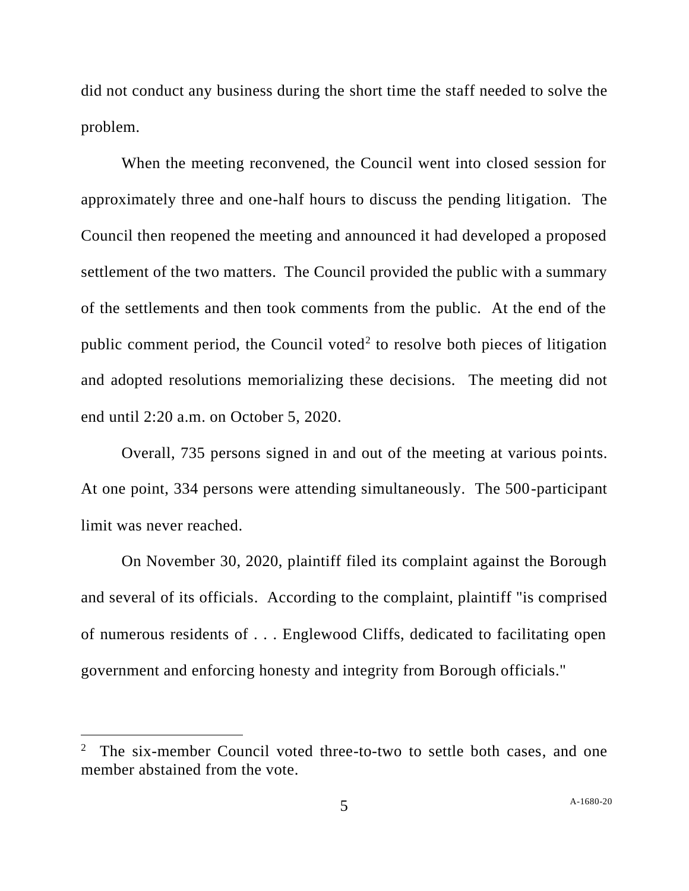did not conduct any business during the short time the staff needed to solve the problem.

When the meeting reconvened, the Council went into closed session for approximately three and one-half hours to discuss the pending litigation. The Council then reopened the meeting and announced it had developed a proposed settlement of the two matters. The Council provided the public with a summary of the settlements and then took comments from the public. At the end of the public comment period, the Council voted<sup>2</sup> to resolve both pieces of litigation and adopted resolutions memorializing these decisions. The meeting did not end until 2:20 a.m. on October 5, 2020.

Overall, 735 persons signed in and out of the meeting at various points. At one point, 334 persons were attending simultaneously. The 500-participant limit was never reached.

On November 30, 2020, plaintiff filed its complaint against the Borough and several of its officials. According to the complaint, plaintiff "is comprised of numerous residents of . . . Englewood Cliffs, dedicated to facilitating open government and enforcing honesty and integrity from Borough officials."

<sup>&</sup>lt;sup>2</sup> The six-member Council voted three-to-two to settle both cases, and one member abstained from the vote.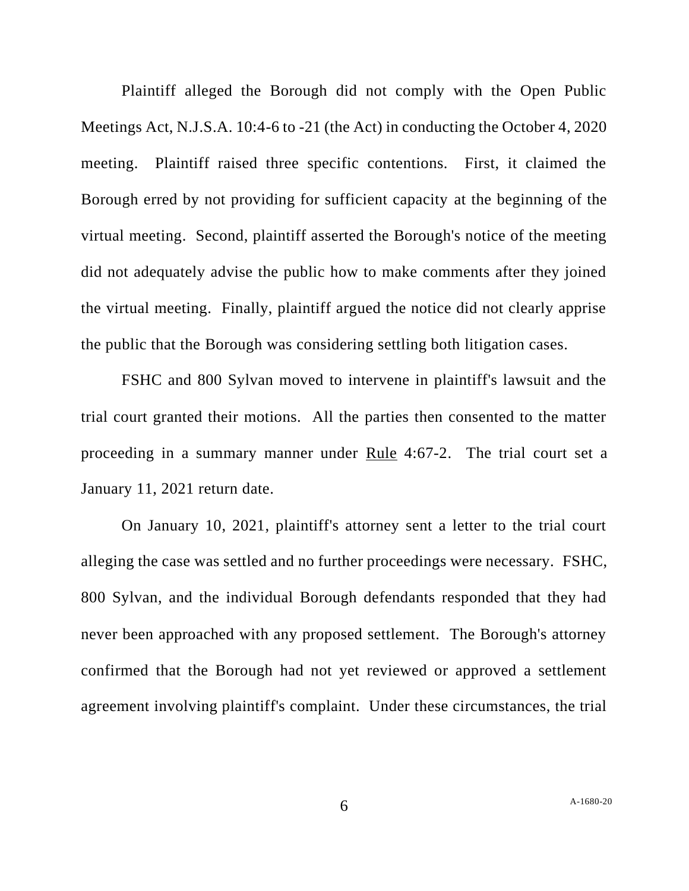Plaintiff alleged the Borough did not comply with the Open Public Meetings Act, N.J.S.A. 10:4-6 to -21 (the Act) in conducting the October 4, 2020 meeting. Plaintiff raised three specific contentions. First, it claimed the Borough erred by not providing for sufficient capacity at the beginning of the virtual meeting. Second, plaintiff asserted the Borough's notice of the meeting did not adequately advise the public how to make comments after they joined the virtual meeting. Finally, plaintiff argued the notice did not clearly apprise the public that the Borough was considering settling both litigation cases.

FSHC and 800 Sylvan moved to intervene in plaintiff's lawsuit and the trial court granted their motions. All the parties then consented to the matter proceeding in a summary manner under Rule 4:67-2. The trial court set a January 11, 2021 return date.

On January 10, 2021, plaintiff's attorney sent a letter to the trial court alleging the case was settled and no further proceedings were necessary. FSHC, 800 Sylvan, and the individual Borough defendants responded that they had never been approached with any proposed settlement. The Borough's attorney confirmed that the Borough had not yet reviewed or approved a settlement agreement involving plaintiff's complaint. Under these circumstances, the trial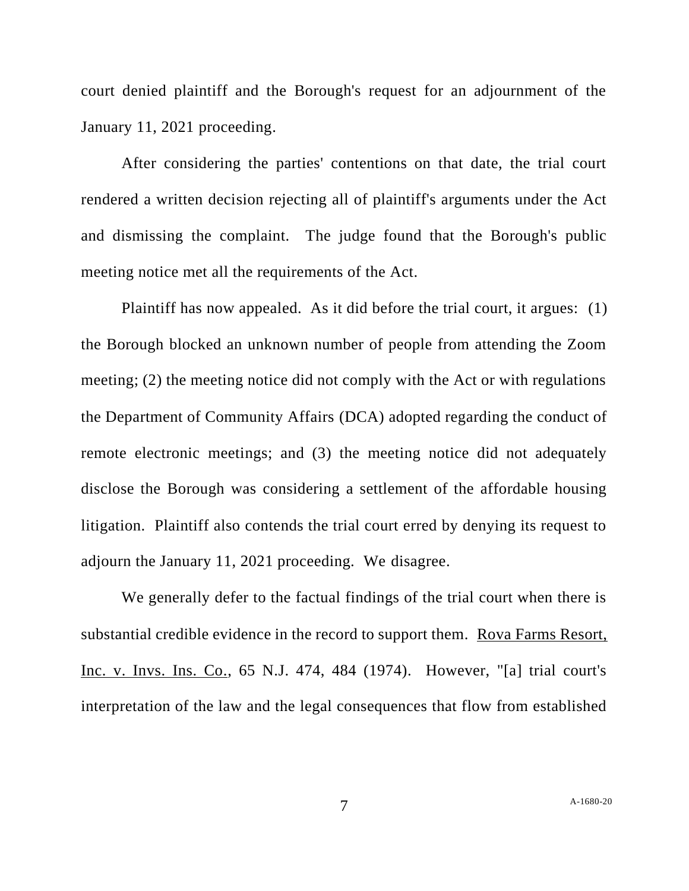court denied plaintiff and the Borough's request for an adjournment of the January 11, 2021 proceeding.

After considering the parties' contentions on that date, the trial court rendered a written decision rejecting all of plaintiff's arguments under the Act and dismissing the complaint. The judge found that the Borough's public meeting notice met all the requirements of the Act.

Plaintiff has now appealed. As it did before the trial court, it argues: (1) the Borough blocked an unknown number of people from attending the Zoom meeting; (2) the meeting notice did not comply with the Act or with regulations the Department of Community Affairs (DCA) adopted regarding the conduct of remote electronic meetings; and (3) the meeting notice did not adequately disclose the Borough was considering a settlement of the affordable housing litigation. Plaintiff also contends the trial court erred by denying its request to adjourn the January 11, 2021 proceeding. We disagree.

We generally defer to the factual findings of the trial court when there is substantial credible evidence in the record to support them. Rova Farms Resort, Inc. v. Invs. Ins. Co., 65 N.J. 474, 484 (1974). However, "[a] trial court's interpretation of the law and the legal consequences that flow from established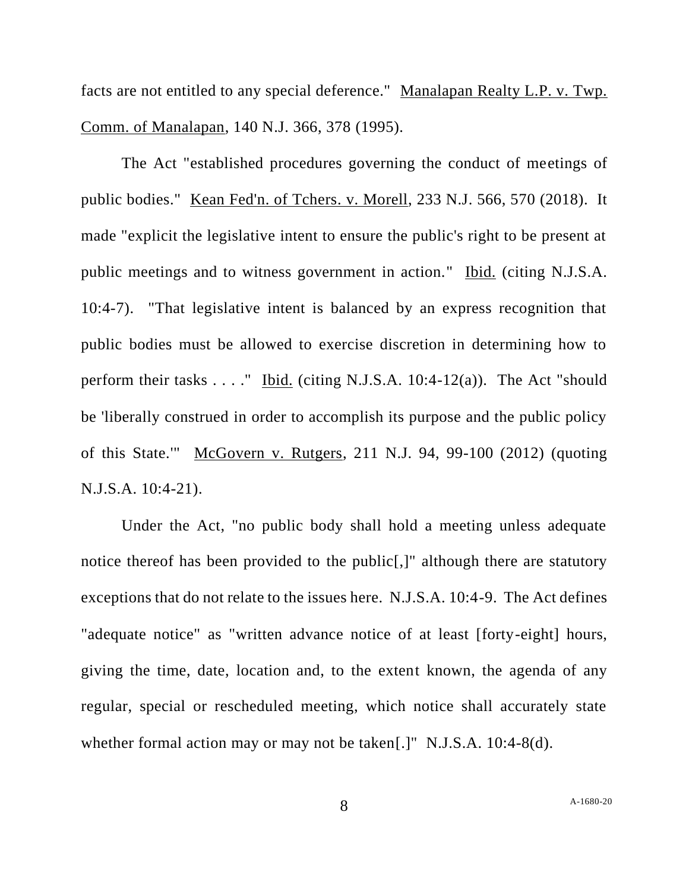facts are not entitled to any special deference." Manalapan Realty L.P. v. Twp. Comm. of Manalapan, 140 N.J. 366, 378 (1995).

The Act "established procedures governing the conduct of meetings of public bodies." Kean Fed'n. of Tchers. v. Morell, 233 N.J. 566, 570 (2018). It made "explicit the legislative intent to ensure the public's right to be present at public meetings and to witness government in action." Ibid. (citing N.J.S.A. 10:4-7). "That legislative intent is balanced by an express recognition that public bodies must be allowed to exercise discretion in determining how to perform their tasks  $\dots$ ." Ibid. (citing N.J.S.A. 10:4-12(a)). The Act "should be 'liberally construed in order to accomplish its purpose and the public policy of this State.'" McGovern v. Rutgers, 211 N.J. 94, 99-100 (2012) (quoting N.J.S.A. 10:4-21).

Under the Act, "no public body shall hold a meeting unless adequate notice thereof has been provided to the public[,]" although there are statutory exceptions that do not relate to the issues here. N.J.S.A. 10:4-9. The Act defines "adequate notice" as "written advance notice of at least [forty-eight] hours, giving the time, date, location and, to the extent known, the agenda of any regular, special or rescheduled meeting, which notice shall accurately state whether formal action may or may not be taken<sup>[.]"</sup> N.J.S.A. 10:4-8(d).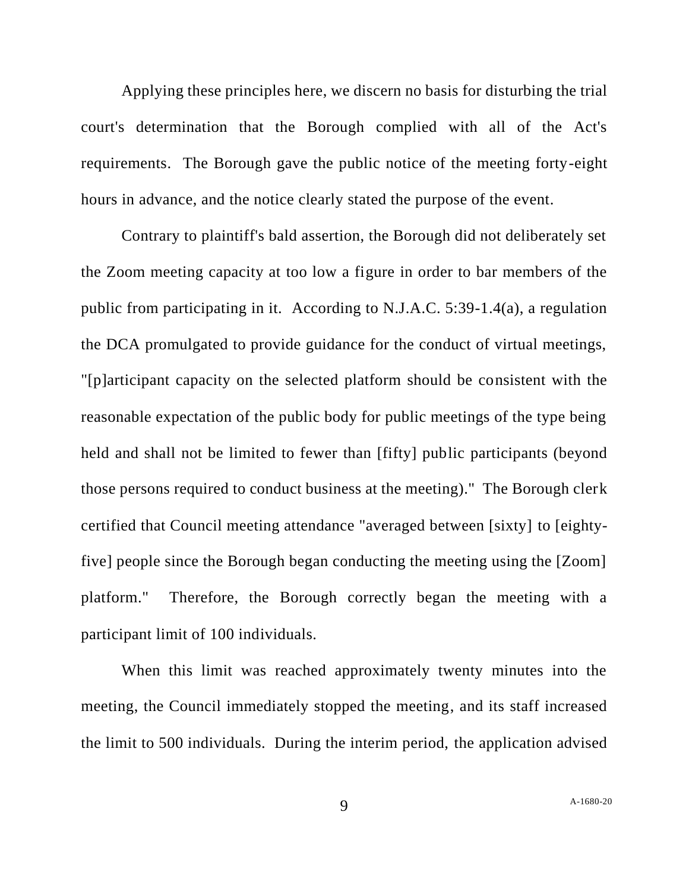Applying these principles here, we discern no basis for disturbing the trial court's determination that the Borough complied with all of the Act's requirements. The Borough gave the public notice of the meeting forty-eight hours in advance, and the notice clearly stated the purpose of the event.

Contrary to plaintiff's bald assertion, the Borough did not deliberately set the Zoom meeting capacity at too low a figure in order to bar members of the public from participating in it. According to N.J.A.C. 5:39-1.4(a), a regulation the DCA promulgated to provide guidance for the conduct of virtual meetings, "[p]articipant capacity on the selected platform should be consistent with the reasonable expectation of the public body for public meetings of the type being held and shall not be limited to fewer than [fifty] public participants (beyond those persons required to conduct business at the meeting)." The Borough clerk certified that Council meeting attendance "averaged between [sixty] to [eightyfive] people since the Borough began conducting the meeting using the [Zoom] platform." Therefore, the Borough correctly began the meeting with a participant limit of 100 individuals.

When this limit was reached approximately twenty minutes into the meeting, the Council immediately stopped the meeting, and its staff increased the limit to 500 individuals. During the interim period, the application advised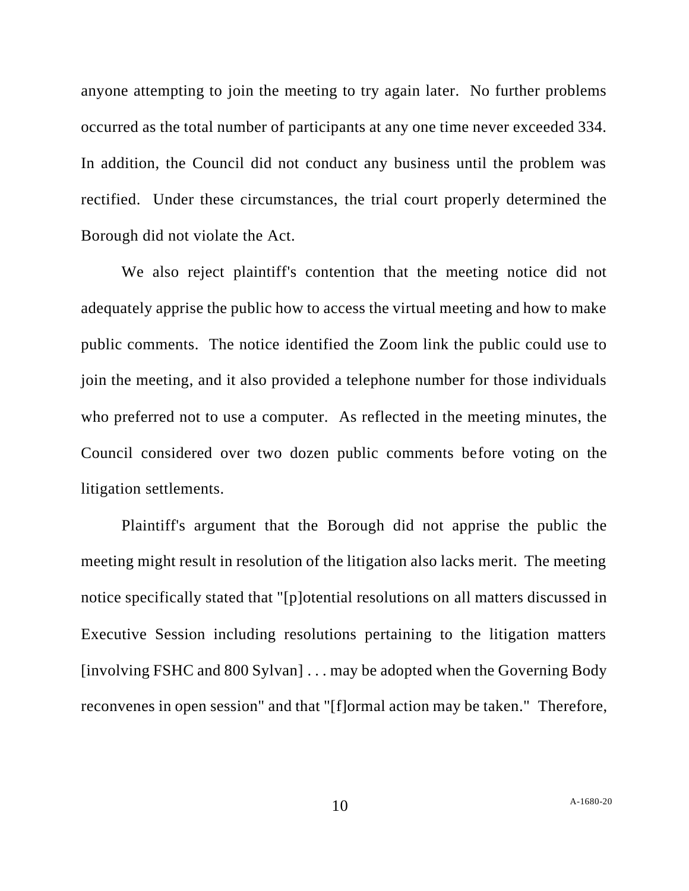anyone attempting to join the meeting to try again later. No further problems occurred as the total number of participants at any one time never exceeded 334. In addition, the Council did not conduct any business until the problem was rectified. Under these circumstances, the trial court properly determined the Borough did not violate the Act.

We also reject plaintiff's contention that the meeting notice did not adequately apprise the public how to access the virtual meeting and how to make public comments. The notice identified the Zoom link the public could use to join the meeting, and it also provided a telephone number for those individuals who preferred not to use a computer. As reflected in the meeting minutes, the Council considered over two dozen public comments before voting on the litigation settlements.

Plaintiff's argument that the Borough did not apprise the public the meeting might result in resolution of the litigation also lacks merit. The meeting notice specifically stated that "[p]otential resolutions on all matters discussed in Executive Session including resolutions pertaining to the litigation matters [involving FSHC and 800 Sylvan] . . . may be adopted when the Governing Body reconvenes in open session" and that "[f]ormal action may be taken." Therefore,